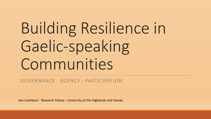# Building Resilience in Gaelic-speaking Communities

GOVERNANCE : AGENCY : PARTICIPATION

Iain Caimbeul – Research Fellow – University of the Highlands and Islands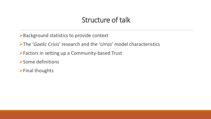#### Structure of talk

➢Background statistics to provide context

➢The '*Gaelic Crisis*' research and the '*Urras*' model characteristics

➢Factors in setting up a Community-based Trust

➢Some definitions

➢Final thoughts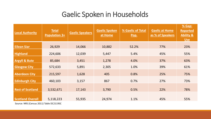# Gaelic Spoken in Households

| <b>Local Authority</b>   | <b>Total</b><br><b>Population 3+</b> | <b>Gaelic Speakers</b> | <b>Gaelic Spoken</b><br>at Home | % Gaelic of Total<br>Pop. | <b>Gaelic at Home</b><br>as % of Speakers | % Gap:<br><b>Reported</b><br><b>Ability &amp;</b><br><b>Use</b> |
|--------------------------|--------------------------------------|------------------------|---------------------------------|---------------------------|-------------------------------------------|-----------------------------------------------------------------|
| <b>Eilean Siar</b>       | 26,929                               | 14,066                 | 10,882                          | 52.2%                     | 77%                                       | 23%                                                             |
| <b>Highland</b>          | 224,606                              | 12,039                 | 5,447                           | 5.4%                      | 45%                                       | 55%                                                             |
| <b>Argyll &amp; Bute</b> | 85,684                               | 3,451                  | 1,278                           | 4.0%                      | 37%                                       | 63%                                                             |
| <b>Glasgow City</b>      | 572,633                              | 5,891                  | 2,305                           | 1.0%                      | 39%                                       | 61%                                                             |
| <b>Aberdeen City</b>     | 215,597                              | 1,628                  | 405                             | 0.8%                      | 25%                                       | 75%                                                             |
| <b>Edinburgh City</b>    | 460,103                              | 3,157                  | 867                             | 0.7%                      | 27%                                       | 73%                                                             |
| <b>Rest of Scotland</b>  | 3,532,671                            | 17,143                 | 3,790                           | 0.5%                      | 22%                                       | 78%                                                             |
| <b>Scotland Overall</b>  | 5,118,223                            | 55,935                 | 24,974                          | 1.1%                      | 45%                                       | 55%                                                             |

Source: NRS (Census 2011) Table DC2119SC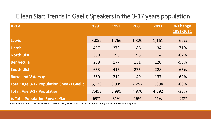#### Eilean Siar: Trends in Gaelic Speakers in the 3-17 years population

| <b>AREA</b>                                     | <b>1981</b> | <b>1991</b> | 2001  | 2011  | % Change<br>1981-2011 |
|-------------------------------------------------|-------------|-------------|-------|-------|-----------------------|
| Lewis                                           | 3,052       | 1,766       | 1,320 | 1,161 | $-62%$                |
| <b>Harris</b>                                   | 457         | 273         | 186   | 134   | $-71%$                |
| North Uist                                      | 350         | 195         | 195   | 114   | $-67%$                |
| <b>Benbecula</b>                                | 258         | 177         | 131   | 120   | $-53%$                |
| <b>South Uist</b>                               | 663         | 416         | 276   | 228   | $-66%$                |
| <b>Barra and Vatersay</b>                       | 359         | 212         | 149   | 137   | $-62%$                |
| <b>Total: Age 3-17 Population Speaks Gaelic</b> | 5,139       | 3,039       | 2,257 | 1,894 | $-63%$                |
| <b>Total: Age 3-17 Population</b>               | 7,453       | 5,995       | 4,870 | 4,592 | $-38%$                |
| <b>% Total Population Speaks Gaelic</b>         | 69%         | 51%         | 46%   | 41%   | $-28%$                |

*Source NRS: ADAPTED FROM TABLE CT\_0079a\_1981, 1991, 2001, and 2011. Age 3-17 Population Speaks Gaelic By Area*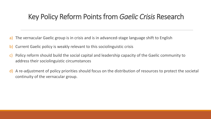### Key Policy Reform Points from *Gaelic Crisis* Research

- a) The vernacular Gaelic group is in crisis and is in advanced-stage language shift to English
- b) Current Gaelic policy is weakly relevant to this sociolinguistic crisis
- c) Policy reform should build the social capital and leadership capacity of the Gaelic community to address their sociolinguistic circumstances
- d) A re-adjustment of policy priorities should focus on the distribution of resources to protect the societal continuity of the vernacular group.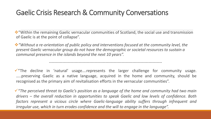### Gaelic Crisis Research & Community Conversations

❖"Within the remaining Gaelic vernacular communities of Scotland, the social use and transmission of Gaelic is at the point of collapse".

❖*"Without a re-orientation of public policy and interventions focused at the community level, the present Gaelic vernacular group do not have the demographic or societal resources to sustain a communal presence in the islands beyond the next 10 years".* 

✓"The decline in 'natural' usage….represents the larger challenge for community usage. …..preserving Gaelic as a native language, acquired in the home and community, should be recognised as the primary aim of revitalisation efforts in the vernacular communities".

*------------------------------------------------------------------------------------*

✓*"The perceived threat to Gaelic's position as a language of the home and community had two main drivers – the overall reduction in opportunities to speak Gaelic and low levels of confidence. Both factors represent a vicious circle where Gaelic-language ability suffers through infrequent and irregular use, which in turn erodes confidence and the will to engage in the language".*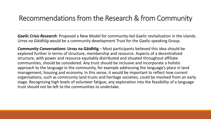#### Recommendations from the Research & from Community

*Gaelic Crisis Research*: Proposed a New Model for community-led Gaelic revitalisation in the islands. *Urras na Gàidhlig* would be a community development Trust for the Gaelic-speaking Group.

**Community Conversations: Urras na Gàidhlig** – Most participants believed this idea should be explored further in terms of structure, membership and resource. Aspects of a decentralised structure, with power and resource equitably distributed and situated throughout affiliate communities, should be considered. Any trust should be inclusive and incorporate a holistic approach to the language in the community, for example addressing the language's place in land management, housing and economy. In this sense, it would be important to reflect how current organisations, such as community land trusts and heritage societies, could be involved from an early stage. Recognising high levels of volunteer fatigue, any exploration into the feasibility of a language trust should not be left to the communities to undertake.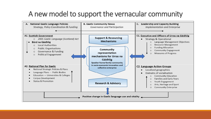# A new model to support the vernacular community

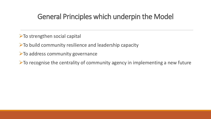### General Principles which underpin the Model

 $\triangleright$  To strengthen social capital

 $\triangleright$  To build community resilience and leadership capacity

 $\triangleright$  To address community governance

 $\triangleright$  To recognise the centrality of community agency in implementing a new future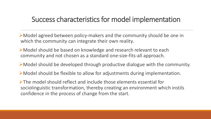#### Success characteristics for model implementation

➢Model agreed between policy-makers and the community should be one in which the community can integrate their own reality.

- ➢Model should be based on knowledge and research relevant to each community and not chosen as a standard one-size-fits-all approach.
- ➢Model should be developed through productive dialogue with the community.
- ➢Model should be flexible to allow for adjustments during implementation.

➢The model should reflect and include those elements essential for sociolinguistic transformation, thereby creating an environment which instils confidence in the process of change from the start.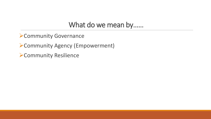#### What do we mean by……

➢Community Governance

➢Community Agency (Empowerment)

➢Community Resilience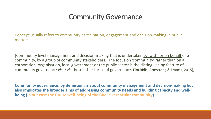#### Community Governance

Concept usually refers to community participation, engagement and decision-making in public matters.

[Community level management and decision-making that is undertaken by, with, or on behalf of a community, by a group of community stakeholders. The focus on 'community' rather than on a corporation, organisation, local government or the public sector is the distinguishing feature of community governance *vis a vis* these other forms of governance. (Totikidis, Armstrong & Francis, 2015)]

**Community governance, by definition, is about community management and decision-making but also implicates the broader aims of addressing community needs and building capacity and wellbeing (in our case the future well-being of the Gaelic vernacular community).**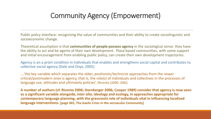# Community Agency (Empowerment)

Public policy interface: recognising the value of communities and their ability to create sociolinguistic and socioeconomic change.

Theoretical assumption is that **communities of people possess agency** in the sociological sense: they have the ability to act and be agents of their own development. Place-based communities, with some support and initial encouragement from enabling public policy, can create their own development trajectories.

Agency is an *a priori* condition in individuals that enables and strengthens social capital and contributes to collective social agency (Dale and Onyx, 2005)

….'the key variable which separates the older, positivistic/technicist approaches from the newer critical/postmodern ones is agency, that is, the role(s) of individuals and collectives in the processes of language use, attitudes and ultimately policies'. [Ricento (2000: 206)]

**A number of authors (cf. Ricento 2006; Hornberger 2006; Cooper 1989) consider that agency is now seen as a significant variable alongside,** *inter alia***, ideology and ecology, in approaches appropriate for contemporary language planning, with the grassroots role of individuals vital in influencing localised language interventions. [page 365, The Gaelic Crisis in the vernacular Community]**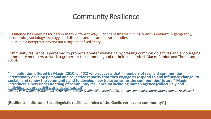### Community Resilience

Resilience has been described in many different way…..concept interdisciplinary and is evident in geography, economics, sociology, ecology, and disaster and natural hazard studies.

◦ Multiple interpretations and not a singular or fixed entity.

Community resilience is perceived to promote greater well-being by creating common objectives and encouraging community members to work together for the common good of their place (Aked, Marks, Cordon and Thompson, 2010).

*"***…….definition offered by Magis (2010, p. 402) who suggests that "members of resilient communities intentionally develop personal and collective capacity that they engage to respond to and influence change, to sustain and renew the community and to develop new trajectories for the communities' future." Magis introduces a new understanding of community resilience by including human agency (collectively and individually), proactivity, and social capital".** *Quoted in Marianna Markantoni, Artur Adam Steiner & John Elliot Meador (2019). Can community interventions change resilience?*

**[Resilience indicators: Sociolinguistic resilience Index of the Gaelic vernacular community? ]**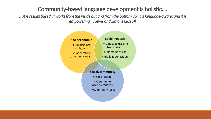#### Community-based language development is holistic….

…*it is results based; it works from the inside out and from the bottom up; it is language-aware; and it is empowering. [Lewis and Simons (2016)]*

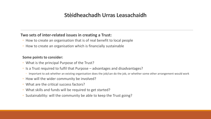#### **Stèidheachadh Urras Leasachaidh**

#### **Two sets of inter-related issues in creating a Trust:**

- How to create an organisation that is of real benefit to local people
- How to create an organisation which is financially sustainable

#### **Some points to consider:**

- What is the principal Purpose of the Trust?
- Is a Trust required to fulfil that Purpose advantages and disadvantages?
	- Important to ask whether an existing organisation does the job/can do the job, or whether some other arrangement would work
- How will the wider community be involved?
- What are the critical success factors?
- What skills and funds will be required to get started?
- Sustainability: will the community be able to keep the Trust going?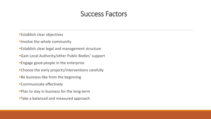#### Success Factors

- **Establish clear objectives**
- **Involve the whole community**
- **Establish clear legal and management structure**
- **Gain Local Authority/other Public Bodies' support**
- **Engage good people in the enterprise**
- **•Choose the early projects/interventions carefully**
- **Be business-like from the beginning**
- **Communicate effectively**
- **Plan to stay in business for the long-term**
- **Take a balanced and measured approach**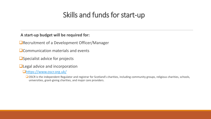# Skills and funds for start-up

#### **A start-up budget will be required for:**

■Recruitment of a Development Officer/Manager

❑Communication materials and events

❑Specialist advice for projects

■Legal advice and incorporation

❑<https://www.oscr.org.uk/>

❑OSCR is the independent Regulator and registrar for Scotland's charities, including community groups, religious charities, schools, universities, grant-giving charities, and major care providers.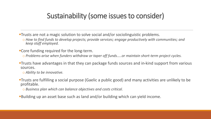# Sustainability (some issues to consider)

- **Trusts are not a magic solution to solve social and/or sociolinguistic problems.** 
	- o *How to find funds to develop projects; provide services; engage productively with communities; and keep staff employed.*
- **Core funding required for the long-term.** 
	- o Problems arise when funders withdraw or taper off funds.....or maintain short-term project cycles.
- **Trusts have advantages in that they can package funds sources and in-kind support from various** sources.
	- o *Ability to be innovative.*
- **Trusts are fulfilling a social purpose (Gaelic a public good) and many activities are unlikely to be** profitable.
	- o *Business plan which can balance objectives and costs critical.*
- **Building up an asset base such as land and/or building which can yield income.**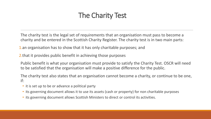# The Charity Test

The charity test is the legal set of requirements that an organisation must pass to become a charity and be entered in the Scottish Charity Register. The charity test is in two main parts:

1.an organisation has to show that it has only charitable purposes; and

2.that it provides public benefit in achieving those purposes

Public benefit is what your organisation must provide to satisfy the Charity Test. OSCR will need to be satisfied that the organisation will make a positive difference for the public.

The charity test also states that an organisation cannot become a charity, or continue to be one, if:

- it is set up to be or advance a political party
- its governing document allows it to use its assets (cash or property) for non charitable purposes
- its governing document allows Scottish Ministers to direct or control its activities.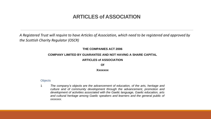#### **ARTICLES of ASSOCIATION**

*A Registered Trust will require to have Articles of Association, which need to be registered and approved by the Scottish Charity Regulator (OSCR)*

#### **THE COMPANIES ACT 2006**

#### **COMPANY LIMITED BY GUARANTEE AND NOT HAVING A SHARE CAPITAL**

#### **ARTICLES of ASSOCIATION**

**Of**

#### **Xxxxxxx**

#### **Objects**

1 *The company's objects are the advancement of education, of the arts, heritage and culture and of community development through the advancement, promotion and development of activities associated with the Gaelic language, Gaelic education, arts and cultural heritage among Gaelic speakers and learners and the general public of xxxxxxx*.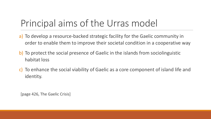# Principal aims of the Urras model

- a) To develop a resource-backed strategic facility for the Gaelic community in order to enable them to improve their societal condition in a cooperative way
- b) To protect the social presence of Gaelic in the islands from sociolinguistic habitat loss
- c) To enhance the social viability of Gaelic as a core component of island life and identity.

[page 426, The Gaelic Crisis]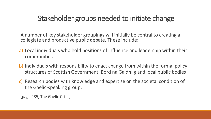### Stakeholder groups needed to initiate change

A number of key stakeholder groupings will initially be central to creating a collegiate and productive public debate. These include:

- a) Local individuals who hold positions of influence and leadership within their communities
- b) Individuals with responsibility to enact change from within the formal policy structures of Scottish Government, Bòrd na Gàidhlig and local public bodies
- c) Research bodies with knowledge and expertise on the societal condition of the Gaelic-speaking group.

[page 435, The Gaelic Crisis]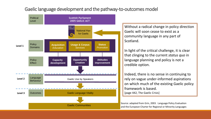#### Gaelic language development and the pathway-to-outcomes model



Without a radical change in policy direction Gaelic will soon cease to exist as a community language in any part of Scotland.

In light of the critical challenge, it is clear that clinging to the current *status quo* in language planning and policy is not a credible option.

Indeed, there is no sense in continuing to rely on vague under-informed aspirations on which much of the existing Gaelic policy framework is based. [page 442, The Gaelic Crisis]

Source: adapted from Grin, 2003. Language Policy Evaluation and the European Charter for Regional or Minority Languages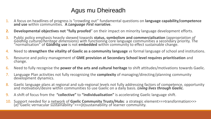#### Agus mu Dheireadh

- 1. A focus on headlines of progress is "crowding out" fundamental questions on **language capability/competence and use** within communities. **A** *Language First* **narrative**.
- **2. Developmental objectives not "fully proofed**" on their impact on minority language development efforts.
- 3. Public policy emphasis heavily skewed towards **status, symbolism and commercialisation** (*appropriation of Gàidhlig cultural/heritage dimensions*) with functioning core language communities a secondary priority. The "normalisation" of **Gàidhlig use** is not **embedded** within community to effect sustainable change.
- 4. Need to **strengthen the vitality of Gaelic as a community language** *vs* formal language of school and institutions.
- 5. Resource and policy management of **GME provision at Secondary School level requires prioritisation** and change.
- 6. Need to fully recognise the **power of the arts and cultural heritage** to shift attitudes/motivations towards Gaelic.
- 7. Language Plan activities not fully recognising the **complexity** of managing/directing/planning community development dynamics.
- 8. Gaelic language plans at regional and sub-regional levels not fully addressing factors of competence, opportunity and motivation/desire within communities to use Gaelic on a daily basis. Living lives through Gaelic.
- 9. A shift of focus from the **"collective"** to **"individualisation"** is accelerating Gaelic language shift.
- 10. Support needed for a network of Gaelic Community Trusts/Hubs: a strategic element>>>transformation>>> (*a*)"Gaelic vernacular sustainability">>>(*b*)sustainability of learner community.